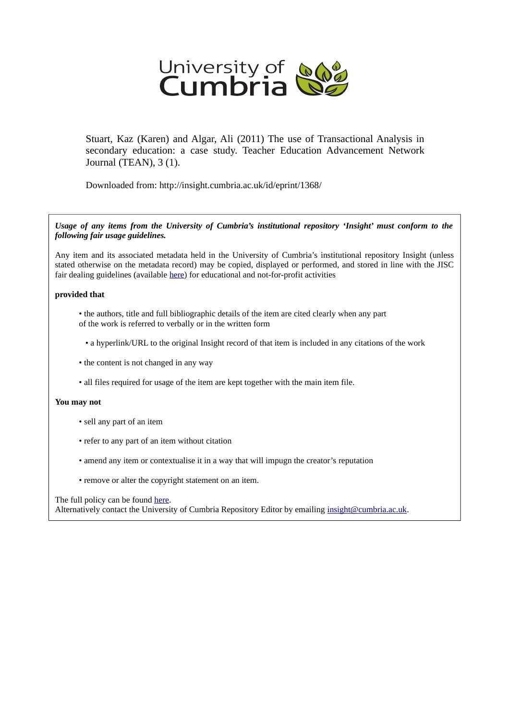

Stuart, Kaz (Karen) and Algar, Ali (2011) The use of Transactional Analysis in secondary education: a case study. Teacher Education Advancement Network Journal (TEAN), 3 (1).

Downloaded from: http://insight.cumbria.ac.uk/id/eprint/1368/

*Usage of any items from the University of Cumbria's institutional repository 'Insight' must conform to the following fair usage guidelines.*

Any item and its associated metadata held in the University of Cumbria's institutional repository Insight (unless stated otherwise on the metadata record) may be copied, displayed or performed, and stored in line with the JISC fair dealing guidelines (available [here\)](http://www.ukoln.ac.uk/services/elib/papers/pa/fair/) for educational and not-for-profit activities

### **provided that**

- the authors, title and full bibliographic details of the item are cited clearly when any part of the work is referred to verbally or in the written form
	- a hyperlink/URL to the original Insight record of that item is included in any citations of the work
- the content is not changed in any way
- all files required for usage of the item are kept together with the main item file.

### **You may not**

- sell any part of an item
- refer to any part of an item without citation
- amend any item or contextualise it in a way that will impugn the creator's reputation
- remove or alter the copyright statement on an item.

#### The full policy can be found [here.](http://insight.cumbria.ac.uk/legal.html#section5)

Alternatively contact the University of Cumbria Repository Editor by emailing [insight@cumbria.ac.uk.](mailto:insight@cumbria.ac.uk)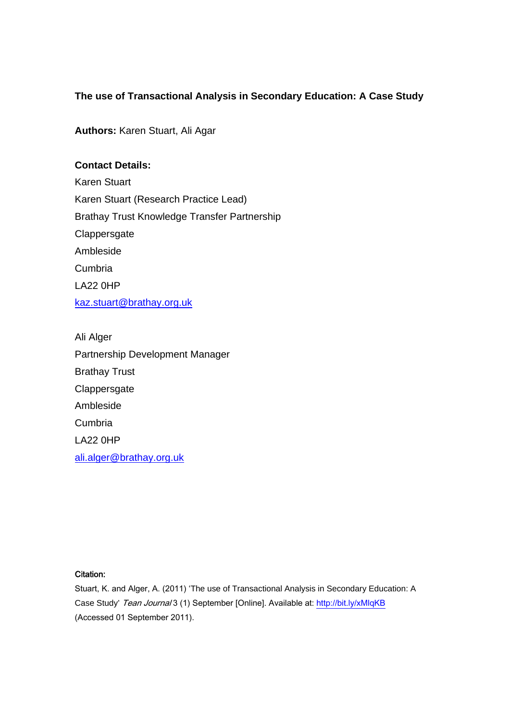# **The use of Transactional Analysis in Secondary Education: A Case Study**

**Authors:** Karen Stuart, Ali Agar

# **Contact Details:**

Karen Stuart Karen Stuart (Research Practice Lead) Brathay Trust Knowledge Transfer Partnership **Clappersgate** Ambleside Cumbria LA22 0HP kaz.stuart@brathay.org.uk

Ali Alger Partnership Development Manager Brathay Trust **Clappersgate** Ambleside Cumbria LA22 0HP ali.alger@brathay.org.uk

### Citation: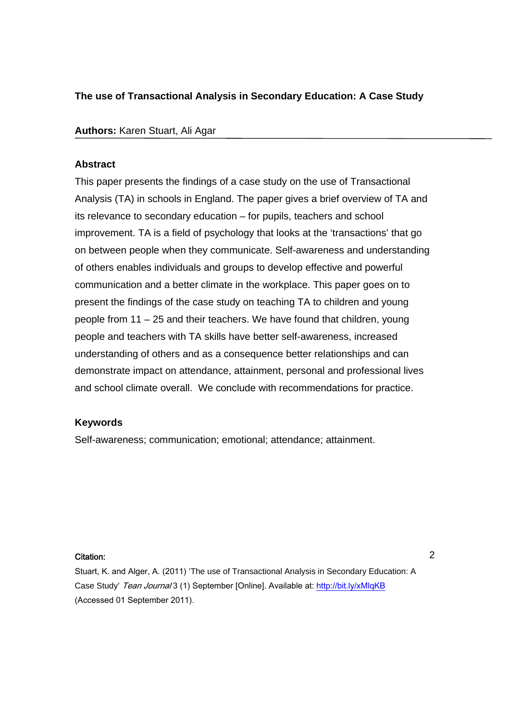# **The use of Transactional Analysis in Secondary Education: A Case Study**

# **Authors:** Karen Stuart, Ali Agar

# **Abstract**

This paper presents the findings of a case study on the use of Transactional Analysis (TA) in schools in England. The paper gives a brief overview of TA and its relevance to secondary education – for pupils, teachers and school improvement. TA is a field of psychology that looks at the 'transactions' that go on between people when they communicate. Self-awareness and understanding of others enables individuals and groups to develop effective and powerful communication and a better climate in the workplace. This paper goes on to present the findings of the case study on teaching TA to children and young people from 11 – 25 and their teachers. We have found that children, young people and teachers with TA skills have better self-awareness, increased understanding of others and as a consequence better relationships and can demonstrate impact on attendance, attainment, personal and professional lives and school climate overall. We conclude with recommendations for practice.

## **Keywords**

Self-awareness; communication; emotional; attendance; attainment.

### Citation: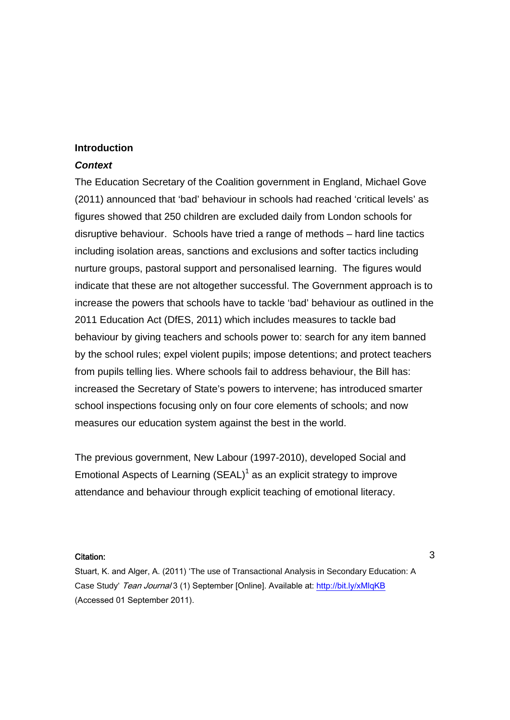## **Introduction**

## *Context*

The Education Secretary of the Coalition government in England, Michael Gove (2011) announced that 'bad' behaviour in schools had reached 'critical levels' as figures showed that 250 children are excluded daily from London schools for disruptive behaviour. Schools have tried a range of methods – hard line tactics including isolation areas, sanctions and exclusions and softer tactics including nurture groups, pastoral support and personalised learning. The figures would indicate that these are not altogether successful. The Government approach is to increase the powers that schools have to tackle 'bad' behaviour as outlined in the 2011 Education Act (DfES, 2011) which includes measures to tackle bad behaviour by giving teachers and schools power to: search for any item banned by the school rules; expel violent pupils; impose detentions; and protect teachers from pupils telling lies. Where schools fail to address behaviour, the Bill has: increased the Secretary of State's powers to intervene; has introduced smarter school inspections focusing only on four core elements of schools; and now measures our education system against the best in the world.

The previous government, New Labour (1997-2010), developed Social and Emotional Aspects of Learning  $(SEAL)^1$  as an explicit strategy to improve attendance and behaviour through explicit teaching of emotional literacy.

#### Citation: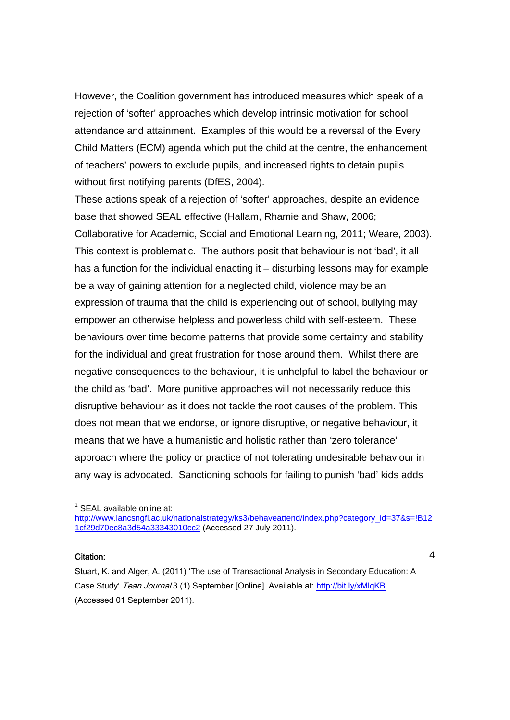However, the Coalition government has introduced measures which speak of a rejection of 'softer' approaches which develop intrinsic motivation for school attendance and attainment. Examples of this would be a reversal of the Every Child Matters (ECM) agenda which put the child at the centre, the enhancement of teachers' powers to exclude pupils, and increased rights to detain pupils without first notifying parents (DfES, 2004).

These actions speak of a rejection of 'softer' approaches, despite an evidence base that showed SEAL effective (Hallam, Rhamie and Shaw, 2006; Collaborative for Academic, Social and Emotional Learning, 2011; Weare, 2003). This context is problematic. The authors posit that behaviour is not 'bad', it all has a function for the individual enacting it – disturbing lessons may for example be a way of gaining attention for a neglected child, violence may be an expression of trauma that the child is experiencing out of school, bullying may empower an otherwise helpless and powerless child with self-esteem. These behaviours over time become patterns that provide some certainty and stability for the individual and great frustration for those around them. Whilst there are negative consequences to the behaviour, it is unhelpful to label the behaviour or the child as 'bad'. More punitive approaches will not necessarily reduce this disruptive behaviour as it does not tackle the root causes of the problem. This does not mean that we endorse, or ignore disruptive, or negative behaviour, it means that we have a humanistic and holistic rather than 'zero tolerance' approach where the policy or practice of not tolerating undesirable behaviour in any way is advocated. Sanctioning schools for failing to punish 'bad' kids adds

<sup>1</sup> SEAL available online at:

http://www.lancsngfl.ac.uk/nationalstrategy/ks3/behaveattend/index.php?category\_id=37&s=!B12 1cf29d70ec8a3d54a33343010cc2 (Accessed 27 July 2011).

### Citation:

-

4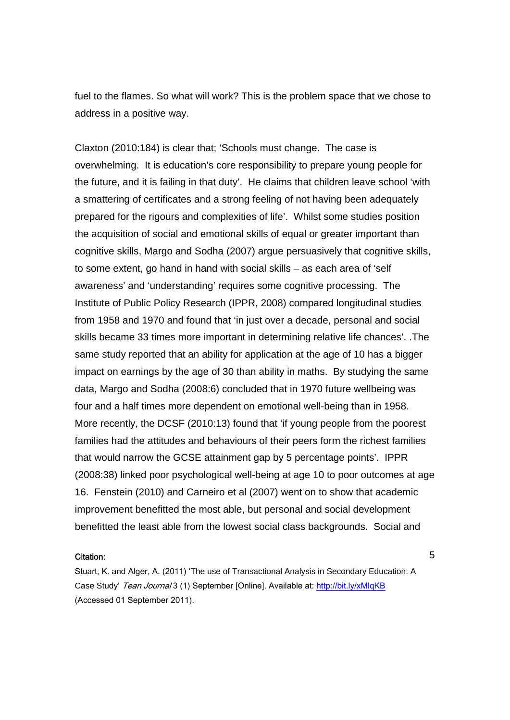fuel to the flames. So what will work? This is the problem space that we chose to address in a positive way.

Claxton (2010:184) is clear that; 'Schools must change. The case is overwhelming. It is education's core responsibility to prepare young people for the future, and it is failing in that duty'. He claims that children leave school 'with a smattering of certificates and a strong feeling of not having been adequately prepared for the rigours and complexities of life'. Whilst some studies position the acquisition of social and emotional skills of equal or greater important than cognitive skills, Margo and Sodha (2007) argue persuasively that cognitive skills, to some extent, go hand in hand with social skills – as each area of 'self awareness' and 'understanding' requires some cognitive processing. The Institute of Public Policy Research (IPPR, 2008) compared longitudinal studies from 1958 and 1970 and found that 'in just over a decade, personal and social skills became 33 times more important in determining relative life chances'. .The same study reported that an ability for application at the age of 10 has a bigger impact on earnings by the age of 30 than ability in maths. By studying the same data, Margo and Sodha (2008:6) concluded that in 1970 future wellbeing was four and a half times more dependent on emotional well-being than in 1958. More recently, the DCSF (2010:13) found that 'if young people from the poorest families had the attitudes and behaviours of their peers form the richest families that would narrow the GCSE attainment gap by 5 percentage points'. IPPR (2008:38) linked poor psychological well-being at age 10 to poor outcomes at age 16. Fenstein (2010) and Carneiro et al (2007) went on to show that academic improvement benefitted the most able, but personal and social development benefitted the least able from the lowest social class backgrounds. Social and

#### Citation:

Stuart, K. and Alger, A. (2011) 'The use of Transactional Analysis in Secondary Education: A Case Study' Tean Journal 3 (1) September [Online]. Available at: http://bit.ly/xMlqKB (Accessed 01 September 2011).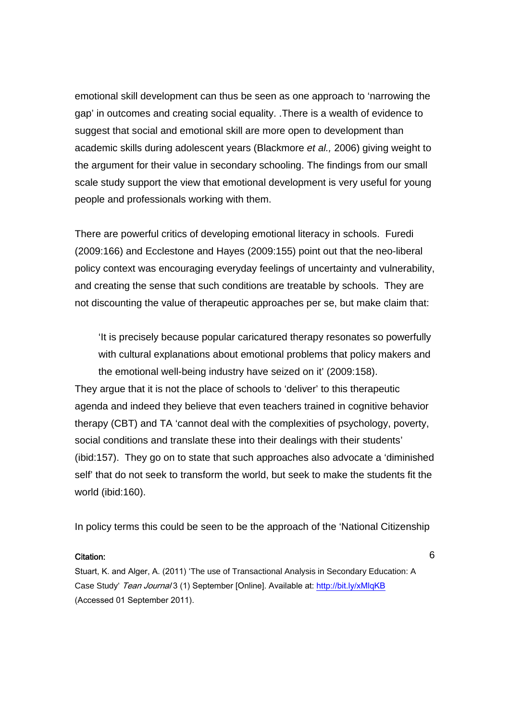emotional skill development can thus be seen as one approach to 'narrowing the gap' in outcomes and creating social equality. .There is a wealth of evidence to suggest that social and emotional skill are more open to development than academic skills during adolescent years (Blackmore *et al.,* 2006) giving weight to the argument for their value in secondary schooling. The findings from our small scale study support the view that emotional development is very useful for young people and professionals working with them.

There are powerful critics of developing emotional literacy in schools. Furedi (2009:166) and Ecclestone and Hayes (2009:155) point out that the neo-liberal policy context was encouraging everyday feelings of uncertainty and vulnerability, and creating the sense that such conditions are treatable by schools. They are not discounting the value of therapeutic approaches per se, but make claim that:

'It is precisely because popular caricatured therapy resonates so powerfully with cultural explanations about emotional problems that policy makers and the emotional well-being industry have seized on it' (2009:158).

They argue that it is not the place of schools to 'deliver' to this therapeutic agenda and indeed they believe that even teachers trained in cognitive behavior therapy (CBT) and TA 'cannot deal with the complexities of psychology, poverty, social conditions and translate these into their dealings with their students' (ibid:157). They go on to state that such approaches also advocate a 'diminished self' that do not seek to transform the world, but seek to make the students fit the world (ibid:160).

In policy terms this could be seen to be the approach of the 'National Citizenship

#### Citation:

Stuart, K. and Alger, A. (2011) 'The use of Transactional Analysis in Secondary Education: A Case Study' Tean Journal 3 (1) September [Online]. Available at: http://bit.ly/xMlqKB (Accessed 01 September 2011).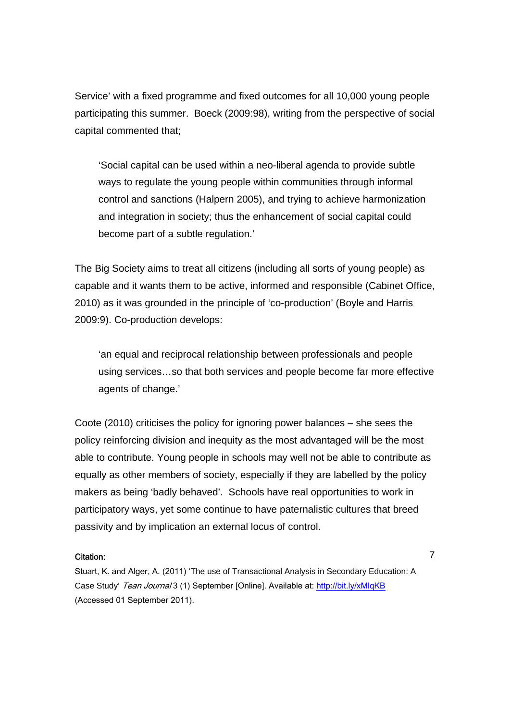Service' with a fixed programme and fixed outcomes for all 10,000 young people participating this summer. Boeck (2009:98), writing from the perspective of social capital commented that;

'Social capital can be used within a neo-liberal agenda to provide subtle ways to regulate the young people within communities through informal control and sanctions (Halpern 2005), and trying to achieve harmonization and integration in society; thus the enhancement of social capital could become part of a subtle regulation.'

The Big Society aims to treat all citizens (including all sorts of young people) as capable and it wants them to be active, informed and responsible (Cabinet Office, 2010) as it was grounded in the principle of 'co-production' (Boyle and Harris 2009:9). Co-production develops:

'an equal and reciprocal relationship between professionals and people using services…so that both services and people become far more effective agents of change.'

Coote (2010) criticises the policy for ignoring power balances – she sees the policy reinforcing division and inequity as the most advantaged will be the most able to contribute. Young people in schools may well not be able to contribute as equally as other members of society, especially if they are labelled by the policy makers as being 'badly behaved'. Schools have real opportunities to work in participatory ways, yet some continue to have paternalistic cultures that breed passivity and by implication an external locus of control.

### Citation:

Stuart, K. and Alger, A. (2011) 'The use of Transactional Analysis in Secondary Education: A Case Study' Tean Journal 3 (1) September [Online]. Available at: http://bit.ly/xMlqKB (Accessed 01 September 2011).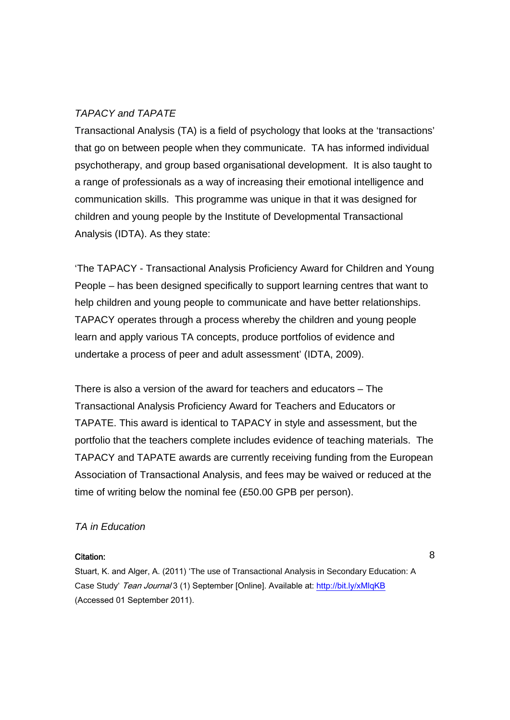# *TAPACY and TAPATE*

Transactional Analysis (TA) is a field of psychology that looks at the 'transactions' that go on between people when they communicate. TA has informed individual psychotherapy, and group based organisational development. It is also taught to a range of professionals as a way of increasing their emotional intelligence and communication skills. This programme was unique in that it was designed for children and young people by the Institute of Developmental Transactional Analysis (IDTA). As they state:

'The TAPACY - Transactional Analysis Proficiency Award for Children and Young People – has been designed specifically to support learning centres that want to help children and young people to communicate and have better relationships. TAPACY operates through a process whereby the children and young people learn and apply various TA concepts, produce portfolios of evidence and undertake a process of peer and adult assessment' (IDTA, 2009).

There is also a version of the award for teachers and educators – The Transactional Analysis Proficiency Award for Teachers and Educators or TAPATE. This award is identical to TAPACY in style and assessment, but the portfolio that the teachers complete includes evidence of teaching materials. The TAPACY and TAPATE awards are currently receiving funding from the European Association of Transactional Analysis, and fees may be waived or reduced at the time of writing below the nominal fee (£50.00 GPB per person).

# *TA in Education*

### Citation: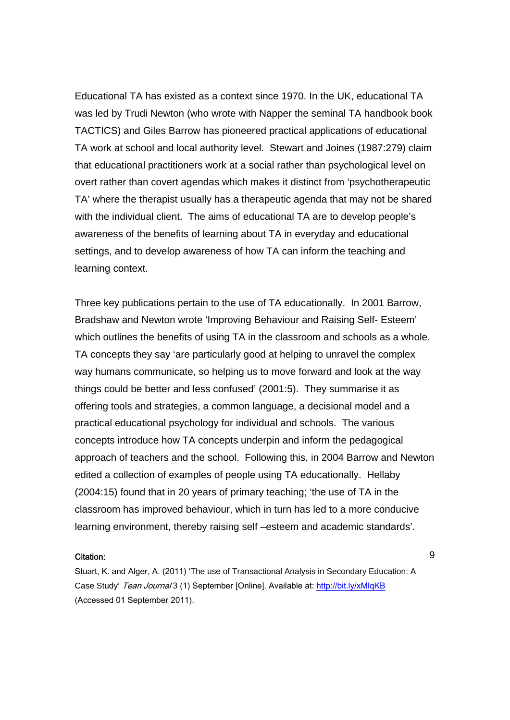Educational TA has existed as a context since 1970. In the UK, educational TA was led by Trudi Newton (who wrote with Napper the seminal TA handbook book TACTICS) and Giles Barrow has pioneered practical applications of educational TA work at school and local authority level. Stewart and Joines (1987:279) claim that educational practitioners work at a social rather than psychological level on overt rather than covert agendas which makes it distinct from 'psychotherapeutic TA' where the therapist usually has a therapeutic agenda that may not be shared with the individual client. The aims of educational TA are to develop people's awareness of the benefits of learning about TA in everyday and educational settings, and to develop awareness of how TA can inform the teaching and learning context.

Three key publications pertain to the use of TA educationally. In 2001 Barrow, Bradshaw and Newton wrote 'Improving Behaviour and Raising Self- Esteem' which outlines the benefits of using TA in the classroom and schools as a whole. TA concepts they say 'are particularly good at helping to unravel the complex way humans communicate, so helping us to move forward and look at the way things could be better and less confused' (2001:5). They summarise it as offering tools and strategies, a common language, a decisional model and a practical educational psychology for individual and schools. The various concepts introduce how TA concepts underpin and inform the pedagogical approach of teachers and the school. Following this, in 2004 Barrow and Newton edited a collection of examples of people using TA educationally. Hellaby (2004:15) found that in 20 years of primary teaching; 'the use of TA in the classroom has improved behaviour, which in turn has led to a more conducive learning environment, thereby raising self –esteem and academic standards'.

#### Citation:

Stuart, K. and Alger, A. (2011) 'The use of Transactional Analysis in Secondary Education: A Case Study' Tean Journal 3 (1) September [Online]. Available at: http://bit.ly/xMlqKB (Accessed 01 September 2011).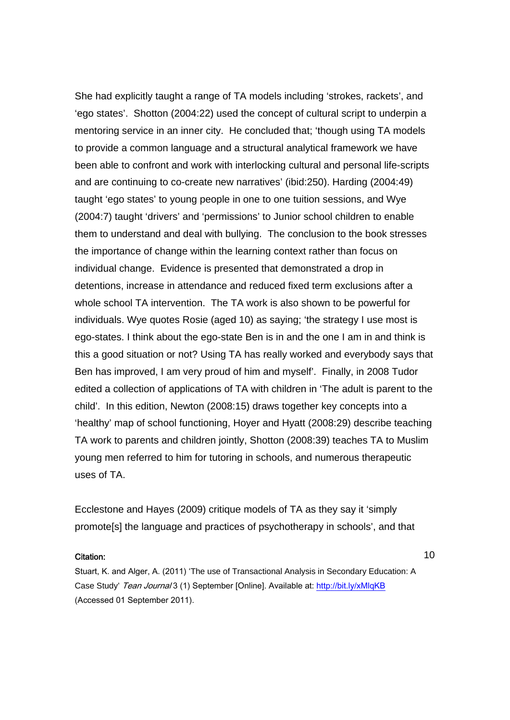She had explicitly taught a range of TA models including 'strokes, rackets', and 'ego states'. Shotton (2004:22) used the concept of cultural script to underpin a mentoring service in an inner city. He concluded that; 'though using TA models to provide a common language and a structural analytical framework we have been able to confront and work with interlocking cultural and personal life-scripts and are continuing to co-create new narratives' (ibid:250). Harding (2004:49) taught 'ego states' to young people in one to one tuition sessions, and Wye (2004:7) taught 'drivers' and 'permissions' to Junior school children to enable them to understand and deal with bullying. The conclusion to the book stresses the importance of change within the learning context rather than focus on individual change. Evidence is presented that demonstrated a drop in detentions, increase in attendance and reduced fixed term exclusions after a whole school TA intervention. The TA work is also shown to be powerful for individuals. Wye quotes Rosie (aged 10) as saying; 'the strategy I use most is ego-states. I think about the ego-state Ben is in and the one I am in and think is this a good situation or not? Using TA has really worked and everybody says that Ben has improved, I am very proud of him and myself'. Finally, in 2008 Tudor edited a collection of applications of TA with children in 'The adult is parent to the child'. In this edition, Newton (2008:15) draws together key concepts into a 'healthy' map of school functioning, Hoyer and Hyatt (2008:29) describe teaching TA work to parents and children jointly, Shotton (2008:39) teaches TA to Muslim young men referred to him for tutoring in schools, and numerous therapeutic uses of TA.

Ecclestone and Hayes (2009) critique models of TA as they say it 'simply promote[s] the language and practices of psychotherapy in schools', and that

#### Citation:

10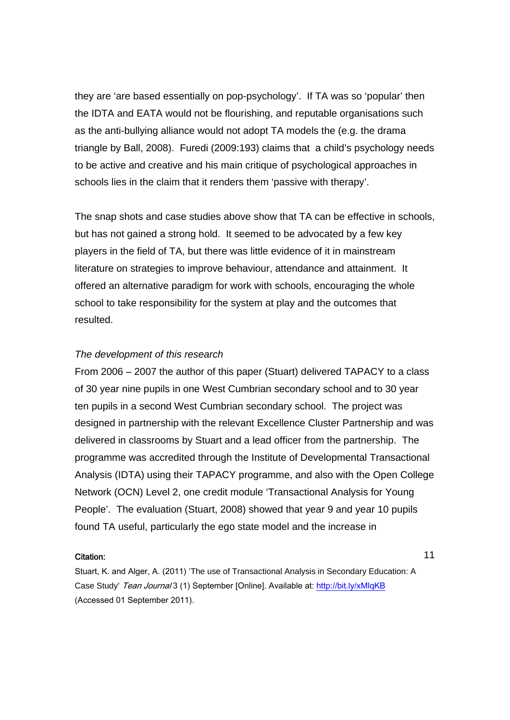they are 'are based essentially on pop-psychology'. If TA was so 'popular' then the IDTA and EATA would not be flourishing, and reputable organisations such as the anti-bullying alliance would not adopt TA models the (e.g. the drama triangle by Ball, 2008). Furedi (2009:193) claims that a child's psychology needs to be active and creative and his main critique of psychological approaches in schools lies in the claim that it renders them 'passive with therapy'.

The snap shots and case studies above show that TA can be effective in schools, but has not gained a strong hold. It seemed to be advocated by a few key players in the field of TA, but there was little evidence of it in mainstream literature on strategies to improve behaviour, attendance and attainment. It offered an alternative paradigm for work with schools, encouraging the whole school to take responsibility for the system at play and the outcomes that resulted.

## *The development of this research*

From 2006 – 2007 the author of this paper (Stuart) delivered TAPACY to a class of 30 year nine pupils in one West Cumbrian secondary school and to 30 year ten pupils in a second West Cumbrian secondary school. The project was designed in partnership with the relevant Excellence Cluster Partnership and was delivered in classrooms by Stuart and a lead officer from the partnership. The programme was accredited through the Institute of Developmental Transactional Analysis (IDTA) using their TAPACY programme, and also with the Open College Network (OCN) Level 2, one credit module 'Transactional Analysis for Young People'. The evaluation (Stuart, 2008) showed that year 9 and year 10 pupils found TA useful, particularly the ego state model and the increase in

### Citation:

Stuart, K. and Alger, A. (2011) 'The use of Transactional Analysis in Secondary Education: A Case Study' Tean Journal 3 (1) September [Online]. Available at: http://bit.ly/xMlqKB (Accessed 01 September 2011).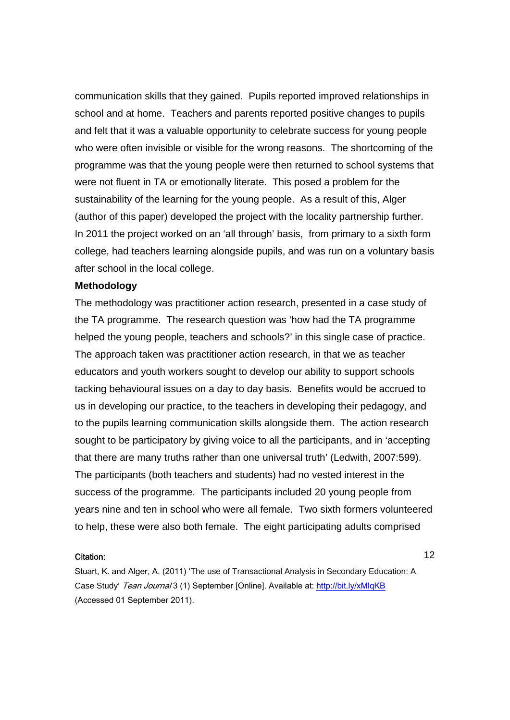communication skills that they gained. Pupils reported improved relationships in school and at home. Teachers and parents reported positive changes to pupils and felt that it was a valuable opportunity to celebrate success for young people who were often invisible or visible for the wrong reasons. The shortcoming of the programme was that the young people were then returned to school systems that were not fluent in TA or emotionally literate. This posed a problem for the sustainability of the learning for the young people. As a result of this, Alger (author of this paper) developed the project with the locality partnership further. In 2011 the project worked on an 'all through' basis, from primary to a sixth form college, had teachers learning alongside pupils, and was run on a voluntary basis after school in the local college.

## **Methodology**

The methodology was practitioner action research, presented in a case study of the TA programme. The research question was 'how had the TA programme helped the young people, teachers and schools?' in this single case of practice. The approach taken was practitioner action research, in that we as teacher educators and youth workers sought to develop our ability to support schools tacking behavioural issues on a day to day basis. Benefits would be accrued to us in developing our practice, to the teachers in developing their pedagogy, and to the pupils learning communication skills alongside them. The action research sought to be participatory by giving voice to all the participants, and in 'accepting that there are many truths rather than one universal truth' (Ledwith, 2007:599). The participants (both teachers and students) had no vested interest in the success of the programme. The participants included 20 young people from years nine and ten in school who were all female. Two sixth formers volunteered to help, these were also both female. The eight participating adults comprised

#### Citation:

Stuart, K. and Alger, A. (2011) 'The use of Transactional Analysis in Secondary Education: A Case Study' Tean Journal 3 (1) September [Online]. Available at: http://bit.ly/xMlqKB (Accessed 01 September 2011).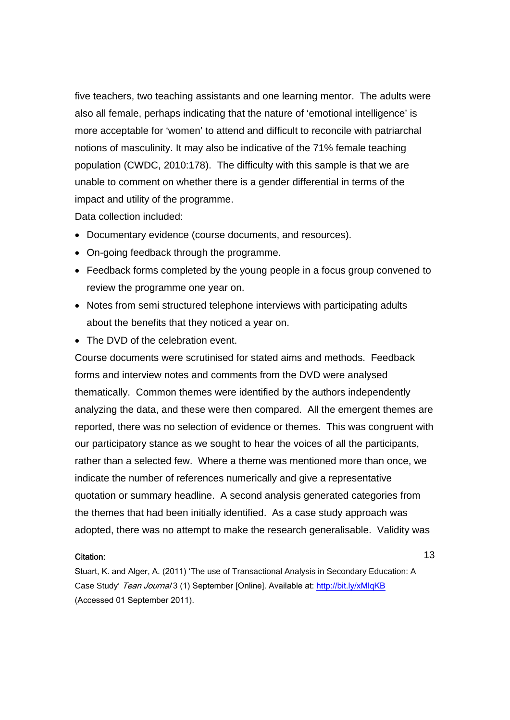five teachers, two teaching assistants and one learning mentor. The adults were also all female, perhaps indicating that the nature of 'emotional intelligence' is more acceptable for 'women' to attend and difficult to reconcile with patriarchal notions of masculinity. It may also be indicative of the 71% female teaching population (CWDC, 2010:178). The difficulty with this sample is that we are unable to comment on whether there is a gender differential in terms of the impact and utility of the programme.

Data collection included:

- Documentary evidence (course documents, and resources).
- On-going feedback through the programme.
- Feedback forms completed by the young people in a focus group convened to review the programme one year on.
- Notes from semi structured telephone interviews with participating adults about the benefits that they noticed a year on.
- The DVD of the celebration event.

Course documents were scrutinised for stated aims and methods. Feedback forms and interview notes and comments from the DVD were analysed thematically. Common themes were identified by the authors independently analyzing the data, and these were then compared. All the emergent themes are reported, there was no selection of evidence or themes. This was congruent with our participatory stance as we sought to hear the voices of all the participants, rather than a selected few. Where a theme was mentioned more than once, we indicate the number of references numerically and give a representative quotation or summary headline. A second analysis generated categories from the themes that had been initially identified. As a case study approach was adopted, there was no attempt to make the research generalisable. Validity was

### Citation:

Stuart, K. and Alger, A. (2011) 'The use of Transactional Analysis in Secondary Education: A Case Study' Tean Journal 3 (1) September [Online]. Available at: http://bit.ly/xMlqKB (Accessed 01 September 2011).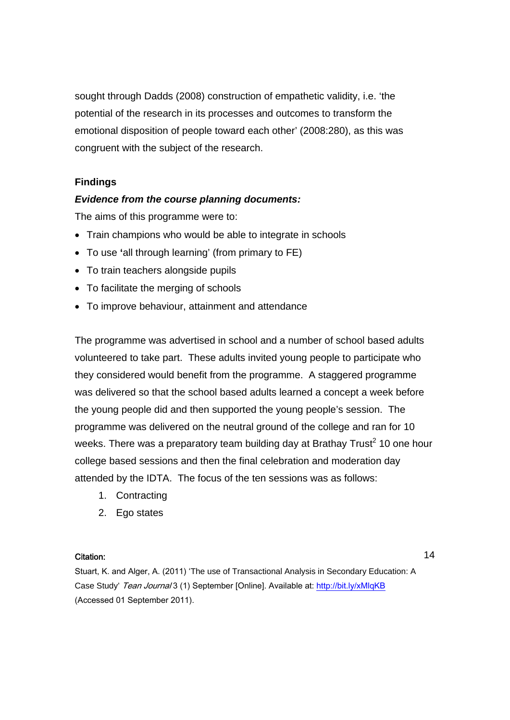sought through Dadds (2008) construction of empathetic validity, i.e. 'the potential of the research in its processes and outcomes to transform the emotional disposition of people toward each other' (2008:280), as this was congruent with the subject of the research.

# **Findings**

## *Evidence from the course planning documents:*

The aims of this programme were to:

- Train champions who would be able to integrate in schools
- To use **'**all through learning' (from primary to FE)
- To train teachers alongside pupils
- To facilitate the merging of schools
- To improve behaviour, attainment and attendance

The programme was advertised in school and a number of school based adults volunteered to take part. These adults invited young people to participate who they considered would benefit from the programme. A staggered programme was delivered so that the school based adults learned a concept a week before the young people did and then supported the young people's session. The programme was delivered on the neutral ground of the college and ran for 10 weeks. There was a preparatory team building day at Brathay Trust<sup>2</sup> 10 one hour college based sessions and then the final celebration and moderation day attended by the IDTA. The focus of the ten sessions was as follows:

- 1. Contracting
- 2. Ego states

### Citation:

14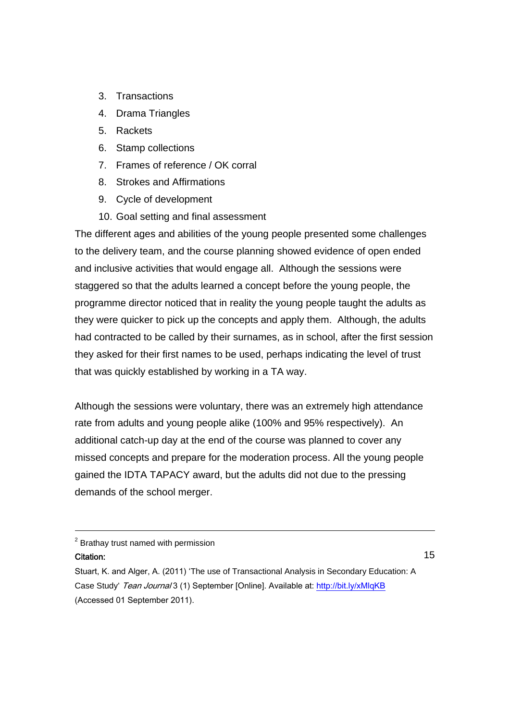- 3. Transactions
- 4. Drama Triangles
- 5. Rackets
- 6. Stamp collections
- 7. Frames of reference / OK corral
- 8. Strokes and Affirmations
- 9. Cycle of development
- 10. Goal setting and final assessment

The different ages and abilities of the young people presented some challenges to the delivery team, and the course planning showed evidence of open ended and inclusive activities that would engage all. Although the sessions were staggered so that the adults learned a concept before the young people, the programme director noticed that in reality the young people taught the adults as they were quicker to pick up the concepts and apply them. Although, the adults had contracted to be called by their surnames, as in school, after the first session they asked for their first names to be used, perhaps indicating the level of trust that was quickly established by working in a TA way.

Although the sessions were voluntary, there was an extremely high attendance rate from adults and young people alike (100% and 95% respectively). An additional catch-up day at the end of the course was planned to cover any missed concepts and prepare for the moderation process. All the young people gained the IDTA TAPACY award, but the adults did not due to the pressing demands of the school merger.

## Citation:

-

Stuart, K. and Alger, A. (2011) 'The use of Transactional Analysis in Secondary Education: A Case Study' Tean Journal 3 (1) September [Online]. Available at: http://bit.ly/xMlqKB (Accessed 01 September 2011).

 $2$  Brathay trust named with permission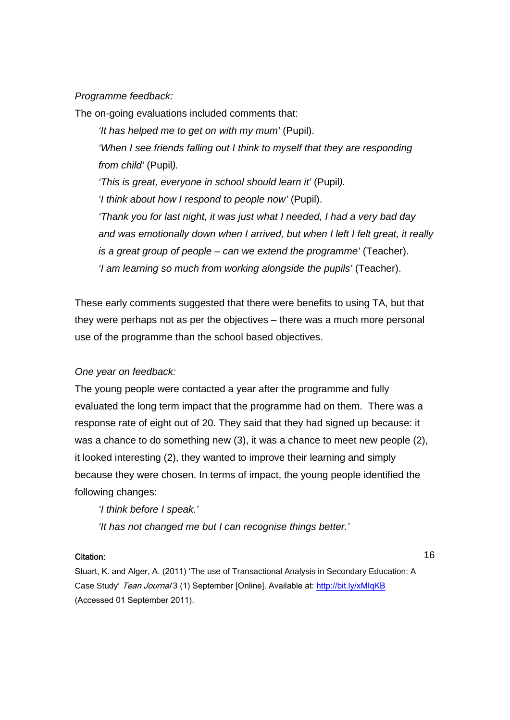# *Programme feedback:*

The on-going evaluations included comments that:

*'It has helped me to get on with my mum'* (Pupil). *'When I see friends falling out I think to myself that they are responding from child'* (Pupil*). 'This is great, everyone in school should learn it'* (Pupil*). 'I think about how I respond to people now'* (Pupil). *'Thank you for last night, it was just what I needed, I had a very bad day and was emotionally down when I arrived, but when I left I felt great, it really is a great group of people – can we extend the programme'* (Teacher). *'I am learning so much from working alongside the pupils'* (Teacher).

These early comments suggested that there were benefits to using TA, but that they were perhaps not as per the objectives – there was a much more personal use of the programme than the school based objectives.

# *One year on feedback:*

The young people were contacted a year after the programme and fully evaluated the long term impact that the programme had on them. There was a response rate of eight out of 20. They said that they had signed up because: it was a chance to do something new (3), it was a chance to meet new people (2), it looked interesting (2), they wanted to improve their learning and simply because they were chosen. In terms of impact, the young people identified the following changes:

*'I think before I speak.'* 

*'It has not changed me but I can recognise things better.'* 

### Citation:

16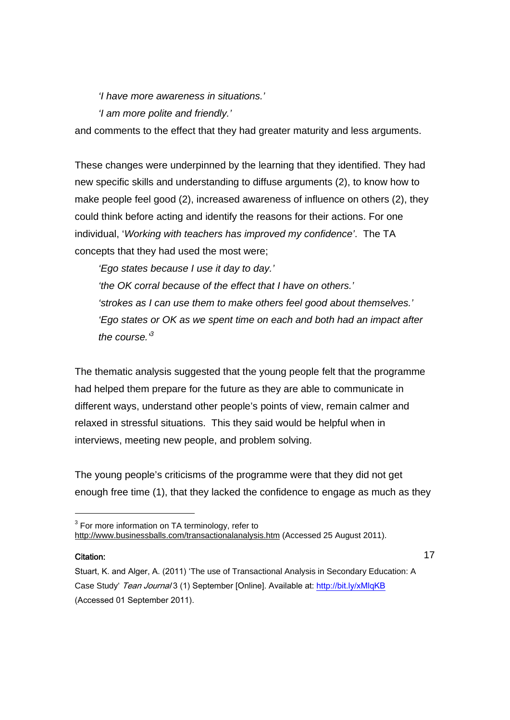*'I have more awareness in situations.'* 

*'I am more polite and friendly.'* 

and comments to the effect that they had greater maturity and less arguments.

These changes were underpinned by the learning that they identified. They had new specific skills and understanding to diffuse arguments (2), to know how to make people feel good (2), increased awareness of influence on others (2), they could think before acting and identify the reasons for their actions. For one individual, '*Working with teachers has improved my confidence'*. The TA concepts that they had used the most were;

*'Ego states because I use it day to day.'* 

*'the OK corral because of the effect that I have on others.' 'strokes as I can use them to make others feel good about themselves.' 'Ego states or OK as we spent time on each and both had an impact after*  the course.<sup>3</sup>

The thematic analysis suggested that the young people felt that the programme had helped them prepare for the future as they are able to communicate in different ways, understand other people's points of view, remain calmer and relaxed in stressful situations. This they said would be helpful when in interviews, meeting new people, and problem solving.

The young people's criticisms of the programme were that they did not get enough free time (1), that they lacked the confidence to engage as much as they

### Citation:

-

 $3$  For more information on TA terminology, refer to http://www.businessballs.com/transactionalanalysis.htm (Accessed 25 August 2011).

Stuart, K. and Alger, A. (2011) 'The use of Transactional Analysis in Secondary Education: A Case Study' Tean Journal 3 (1) September [Online]. Available at: http://bit.ly/xMlqKB (Accessed 01 September 2011).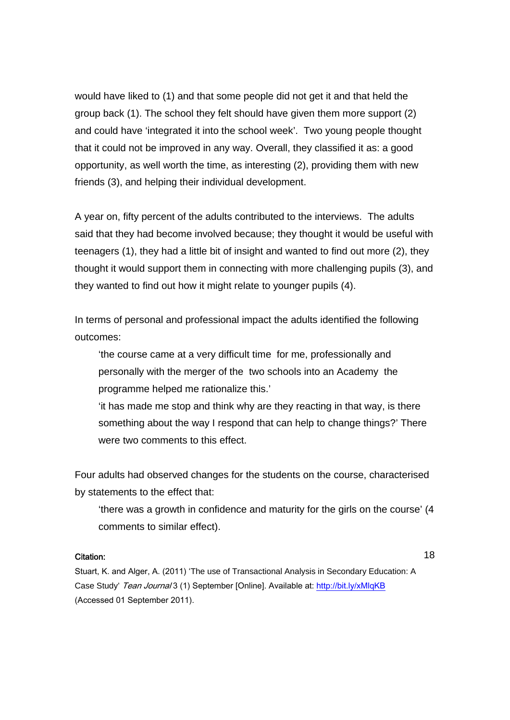would have liked to (1) and that some people did not get it and that held the group back (1). The school they felt should have given them more support (2) and could have 'integrated it into the school week'. Two young people thought that it could not be improved in any way. Overall, they classified it as: a good opportunity, as well worth the time, as interesting (2), providing them with new friends (3), and helping their individual development.

A year on, fifty percent of the adults contributed to the interviews. The adults said that they had become involved because; they thought it would be useful with teenagers (1), they had a little bit of insight and wanted to find out more (2), they thought it would support them in connecting with more challenging pupils (3), and they wanted to find out how it might relate to younger pupils (4).

In terms of personal and professional impact the adults identified the following outcomes:

'the course came at a very difficult time for me, professionally and personally with the merger of the two schools into an Academy the programme helped me rationalize this.'

'it has made me stop and think why are they reacting in that way, is there something about the way I respond that can help to change things?' There were two comments to this effect.

Four adults had observed changes for the students on the course, characterised by statements to the effect that:

'there was a growth in confidence and maturity for the girls on the course' (4 comments to similar effect).

### Citation:

18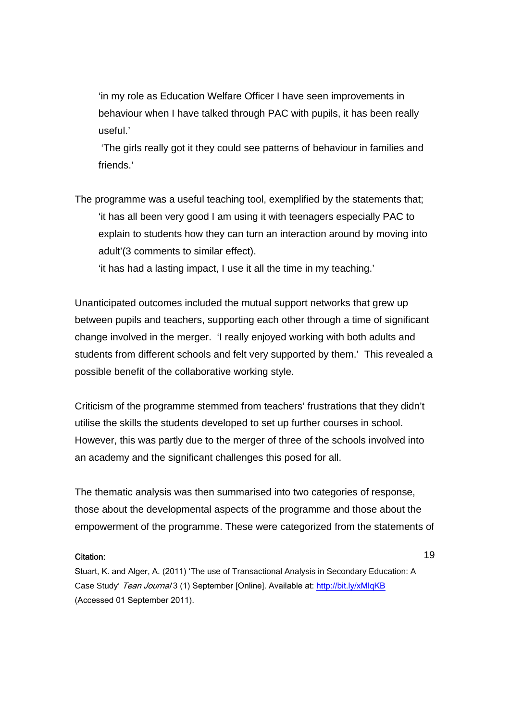'in my role as Education Welfare Officer I have seen improvements in behaviour when I have talked through PAC with pupils, it has been really useful.'

 'The girls really got it they could see patterns of behaviour in families and friends.'

The programme was a useful teaching tool, exemplified by the statements that; 'it has all been very good I am using it with teenagers especially PAC to explain to students how they can turn an interaction around by moving into adult'(3 comments to similar effect).

'it has had a lasting impact, I use it all the time in my teaching.'

Unanticipated outcomes included the mutual support networks that grew up between pupils and teachers, supporting each other through a time of significant change involved in the merger. 'I really enjoyed working with both adults and students from different schools and felt very supported by them.'This revealed a possible benefit of the collaborative working style.

Criticism of the programme stemmed from teachers' frustrations that they didn't utilise the skills the students developed to set up further courses in school. However, this was partly due to the merger of three of the schools involved into an academy and the significant challenges this posed for all.

The thematic analysis was then summarised into two categories of response, those about the developmental aspects of the programme and those about the empowerment of the programme. These were categorized from the statements of

### Citation:

Stuart, K. and Alger, A. (2011) 'The use of Transactional Analysis in Secondary Education: A Case Study' Tean Journal 3 (1) September [Online]. Available at: http://bit.ly/xMlqKB (Accessed 01 September 2011).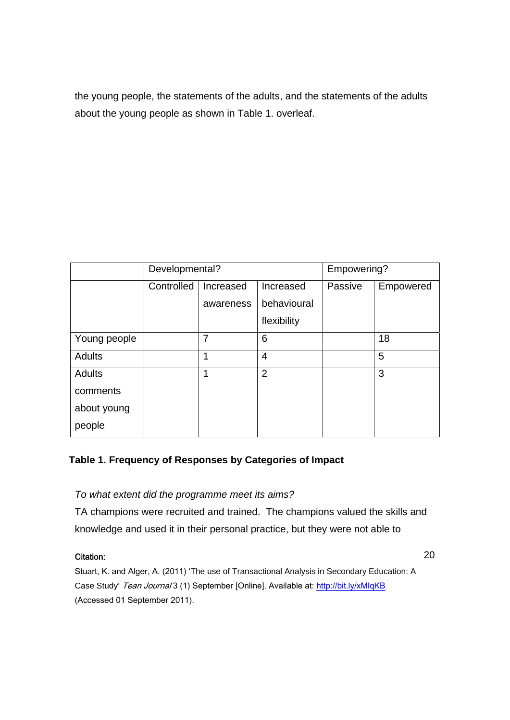the young people, the statements of the adults, and the statements of the adults about the young people as shown in Table 1. overleaf.

|                                             | Developmental? |                        |                                         | Empowering? |           |
|---------------------------------------------|----------------|------------------------|-----------------------------------------|-------------|-----------|
|                                             | Controlled     | Increased<br>awareness | Increased<br>behavioural<br>flexibility | Passive     | Empowered |
| Young people                                |                | 7                      | 6                                       |             | 18        |
| Adults                                      |                | 1                      | $\overline{4}$                          |             | 5         |
| Adults<br>comments<br>about young<br>people |                | 1                      | $\overline{2}$                          |             | 3         |

# **Table 1. Frequency of Responses by Categories of Impact**

# *To what extent did the programme meet its aims?*

TA champions were recruited and trained. The champions valued the skills and knowledge and used it in their personal practice, but they were not able to

## Citation:

20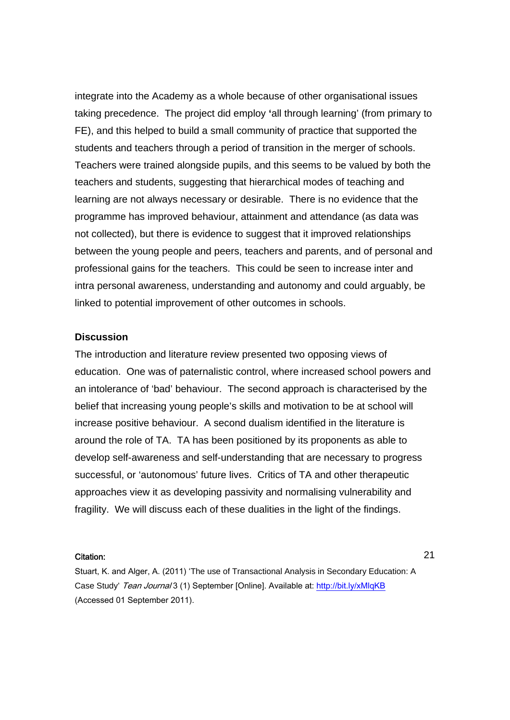integrate into the Academy as a whole because of other organisational issues taking precedence. The project did employ **'**all through learning' (from primary to FE), and this helped to build a small community of practice that supported the students and teachers through a period of transition in the merger of schools. Teachers were trained alongside pupils, and this seems to be valued by both the teachers and students, suggesting that hierarchical modes of teaching and learning are not always necessary or desirable. There is no evidence that the programme has improved behaviour, attainment and attendance (as data was not collected), but there is evidence to suggest that it improved relationships between the young people and peers, teachers and parents, and of personal and professional gains for the teachers. This could be seen to increase inter and intra personal awareness, understanding and autonomy and could arguably, be linked to potential improvement of other outcomes in schools.

## **Discussion**

The introduction and literature review presented two opposing views of education. One was of paternalistic control, where increased school powers and an intolerance of 'bad' behaviour. The second approach is characterised by the belief that increasing young people's skills and motivation to be at school will increase positive behaviour. A second dualism identified in the literature is around the role of TA. TA has been positioned by its proponents as able to develop self-awareness and self-understanding that are necessary to progress successful, or 'autonomous' future lives. Critics of TA and other therapeutic approaches view it as developing passivity and normalising vulnerability and fragility. We will discuss each of these dualities in the light of the findings.

### Citation:

Stuart, K. and Alger, A. (2011) 'The use of Transactional Analysis in Secondary Education: A Case Study' Tean Journal 3 (1) September [Online]. Available at: http://bit.ly/xMlqKB (Accessed 01 September 2011).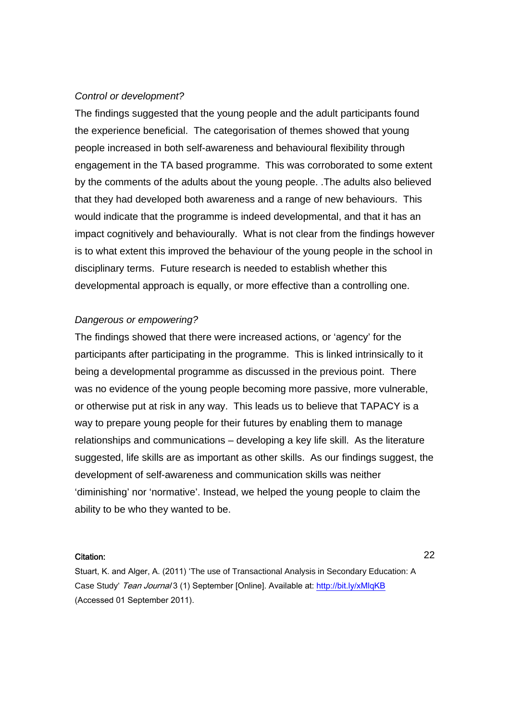## *Control or development?*

The findings suggested that the young people and the adult participants found the experience beneficial. The categorisation of themes showed that young people increased in both self-awareness and behavioural flexibility through engagement in the TA based programme. This was corroborated to some extent by the comments of the adults about the young people. .The adults also believed that they had developed both awareness and a range of new behaviours. This would indicate that the programme is indeed developmental, and that it has an impact cognitively and behaviourally. What is not clear from the findings however is to what extent this improved the behaviour of the young people in the school in disciplinary terms. Future research is needed to establish whether this developmental approach is equally, or more effective than a controlling one.

## *Dangerous or empowering?*

The findings showed that there were increased actions, or 'agency' for the participants after participating in the programme. This is linked intrinsically to it being a developmental programme as discussed in the previous point. There was no evidence of the young people becoming more passive, more vulnerable, or otherwise put at risk in any way. This leads us to believe that TAPACY is a way to prepare young people for their futures by enabling them to manage relationships and communications – developing a key life skill. As the literature suggested, life skills are as important as other skills. As our findings suggest, the development of self-awareness and communication skills was neither 'diminishing' nor 'normative'. Instead, we helped the young people to claim the ability to be who they wanted to be.

#### Citation:

22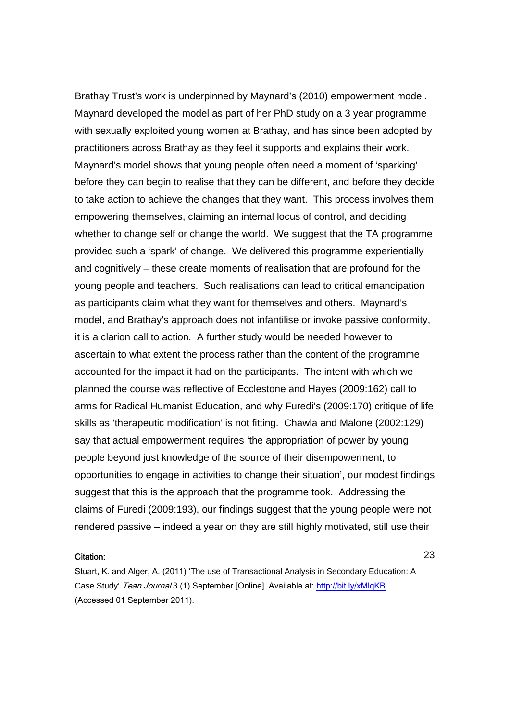Brathay Trust's work is underpinned by Maynard's (2010) empowerment model. Maynard developed the model as part of her PhD study on a 3 year programme with sexually exploited young women at Brathay, and has since been adopted by practitioners across Brathay as they feel it supports and explains their work. Maynard's model shows that young people often need a moment of 'sparking' before they can begin to realise that they can be different, and before they decide to take action to achieve the changes that they want. This process involves them empowering themselves, claiming an internal locus of control, and deciding whether to change self or change the world. We suggest that the TA programme provided such a 'spark' of change. We delivered this programme experientially and cognitively – these create moments of realisation that are profound for the young people and teachers. Such realisations can lead to critical emancipation as participants claim what they want for themselves and others. Maynard's model, and Brathay's approach does not infantilise or invoke passive conformity, it is a clarion call to action. A further study would be needed however to ascertain to what extent the process rather than the content of the programme accounted for the impact it had on the participants. The intent with which we planned the course was reflective of Ecclestone and Hayes (2009:162) call to arms for Radical Humanist Education, and why Furedi's (2009:170) critique of life skills as 'therapeutic modification' is not fitting. Chawla and Malone (2002:129) say that actual empowerment requires 'the appropriation of power by young people beyond just knowledge of the source of their disempowerment, to opportunities to engage in activities to change their situation', our modest findings suggest that this is the approach that the programme took. Addressing the claims of Furedi (2009:193), our findings suggest that the young people were not rendered passive – indeed a year on they are still highly motivated, still use their

#### Citation:

Stuart, K. and Alger, A. (2011) 'The use of Transactional Analysis in Secondary Education: A Case Study' Tean Journal 3 (1) September [Online]. Available at: http://bit.ly/xMlqKB (Accessed 01 September 2011).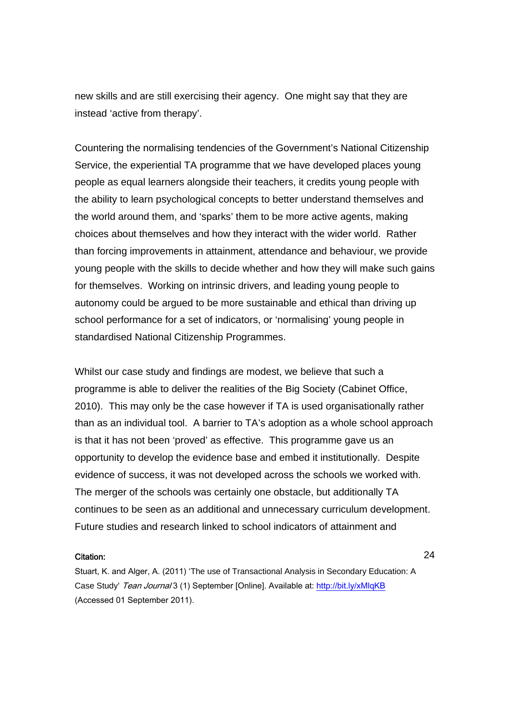new skills and are still exercising their agency. One might say that they are instead 'active from therapy'.

Countering the normalising tendencies of the Government's National Citizenship Service, the experiential TA programme that we have developed places young people as equal learners alongside their teachers, it credits young people with the ability to learn psychological concepts to better understand themselves and the world around them, and 'sparks' them to be more active agents, making choices about themselves and how they interact with the wider world. Rather than forcing improvements in attainment, attendance and behaviour, we provide young people with the skills to decide whether and how they will make such gains for themselves. Working on intrinsic drivers, and leading young people to autonomy could be argued to be more sustainable and ethical than driving up school performance for a set of indicators, or 'normalising' young people in standardised National Citizenship Programmes.

Whilst our case study and findings are modest, we believe that such a programme is able to deliver the realities of the Big Society (Cabinet Office, 2010). This may only be the case however if TA is used organisationally rather than as an individual tool. A barrier to TA's adoption as a whole school approach is that it has not been 'proved' as effective. This programme gave us an opportunity to develop the evidence base and embed it institutionally. Despite evidence of success, it was not developed across the schools we worked with. The merger of the schools was certainly one obstacle, but additionally TA continues to be seen as an additional and unnecessary curriculum development. Future studies and research linked to school indicators of attainment and

#### Citation:

Stuart, K. and Alger, A. (2011) 'The use of Transactional Analysis in Secondary Education: A Case Study' Tean Journal 3 (1) September [Online]. Available at: http://bit.ly/xMlqKB (Accessed 01 September 2011).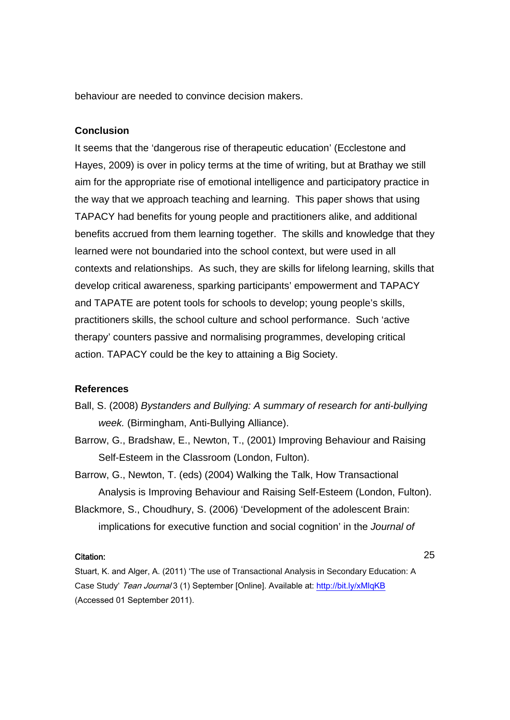behaviour are needed to convince decision makers.

## **Conclusion**

It seems that the 'dangerous rise of therapeutic education' (Ecclestone and Hayes, 2009) is over in policy terms at the time of writing, but at Brathay we still aim for the appropriate rise of emotional intelligence and participatory practice in the way that we approach teaching and learning. This paper shows that using TAPACY had benefits for young people and practitioners alike, and additional benefits accrued from them learning together. The skills and knowledge that they learned were not boundaried into the school context, but were used in all contexts and relationships. As such, they are skills for lifelong learning, skills that develop critical awareness, sparking participants' empowerment and TAPACY and TAPATE are potent tools for schools to develop; young people's skills, practitioners skills, the school culture and school performance. Such 'active therapy' counters passive and normalising programmes, developing critical action. TAPACY could be the key to attaining a Big Society.

## **References**

- Ball, S. (2008) *Bystanders and Bullying: A summary of research for anti-bullying week.* (Birmingham, Anti-Bullying Alliance).
- Barrow, G., Bradshaw, E., Newton, T., (2001) Improving Behaviour and Raising Self-Esteem in the Classroom (London, Fulton).
- Barrow, G., Newton, T. (eds) (2004) Walking the Talk, How Transactional Analysis is Improving Behaviour and Raising Self-Esteem (London, Fulton).
- Blackmore, S., Choudhury, S. (2006) 'Development of the adolescent Brain: implications for executive function and social cognition' in the *Journal of*

### Citation:

25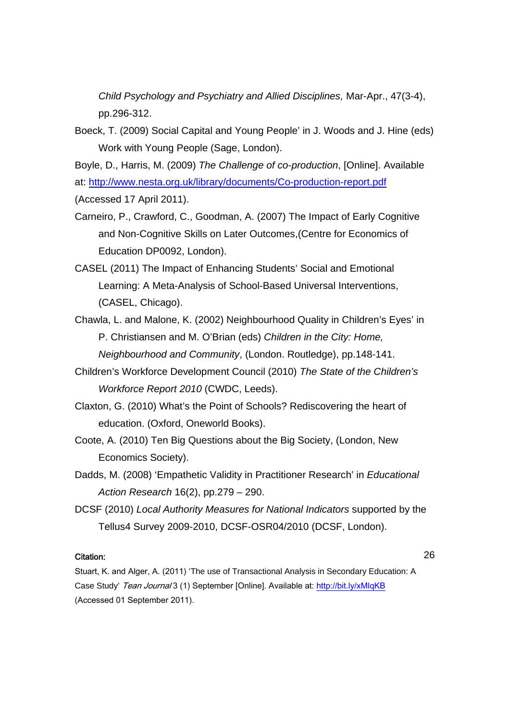*Child Psychology and Psychiatry and Allied Disciplines,* Mar-Apr., 47(3-4), pp.296-312.

Boeck, T. (2009) Social Capital and Young People' in J. Woods and J. Hine (eds) Work with Young People (Sage, London).

Boyle, D., Harris, M. (2009) *The Challenge of co-production*, [Online]. Available

at: http://www.nesta.org.uk/library/documents/Co-production-report.pdf

- (Accessed 17 April 2011).
- Carneiro, P., Crawford, C., Goodman, A. (2007) The Impact of Early Cognitive and Non-Cognitive Skills on Later Outcomes,(Centre for Economics of Education DP0092, London).
- CASEL (2011) The Impact of Enhancing Students' Social and Emotional Learning: A Meta-Analysis of School-Based Universal Interventions, (CASEL, Chicago).
- Chawla, L. and Malone, K. (2002) Neighbourhood Quality in Children's Eyes' in P. Christiansen and M. O'Brian (eds) *Children in the City: Home, Neighbourhood and Community*, (London. Routledge), pp.148-141.
- Children's Workforce Development Council (2010) *The State of the Children's Workforce Report 2010* (CWDC, Leeds).
- Claxton, G. (2010) What's the Point of Schools? Rediscovering the heart of education. (Oxford, Oneworld Books).
- Coote, A. (2010) Ten Big Questions about the Big Society, (London, New Economics Society).
- Dadds, M. (2008) 'Empathetic Validity in Practitioner Research' in *Educational Action Research* 16(2), pp.279 – 290.
- DCSF (2010) *Local Authority Measures for National Indicators* supported by the Tellus4 Survey 2009-2010, DCSF-OSR04/2010 (DCSF, London).

### Citation:

26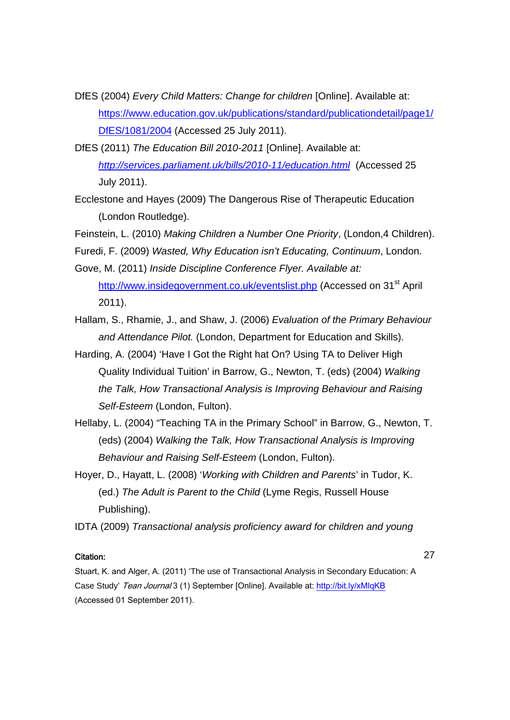- DfES (2004) *Every Child Matters: Change for children* [Online]. Available at: https://www.education.gov.uk/publications/standard/publicationdetail/page1/ DfES/1081/2004 (Accessed 25 July 2011).
- DfES (2011) *The Education Bill 2010-2011* [Online]. Available at: *http://services.parliament.uk/bills/2010-11/education.html* (Accessed 25 July 2011).
- Ecclestone and Hayes (2009) The Dangerous Rise of Therapeutic Education (London Routledge).

Feinstein, L. (2010) *Making Children a Number One Priority*, (London,4 Children).

- Furedi, F. (2009) *Wasted, Why Education isn't Educating, Continuum*, London.
- Gove, M. (2011) *Inside Discipline Conference Flyer. Available at:*  http://www.insidegovernment.co.uk/eventslist.php (Accessed on 31<sup>st</sup> April 2011).
- Hallam, S., Rhamie, J., and Shaw, J. (2006) *Evaluation of the Primary Behaviour and Attendance Pilot.* (London, Department for Education and Skills).
- Harding, A. (2004) 'Have I Got the Right hat On? Using TA to Deliver High Quality Individual Tuition' in Barrow, G., Newton, T. (eds) (2004) *Walking the Talk, How Transactional Analysis is Improving Behaviour and Raising Self-Esteem* (London, Fulton).
- Hellaby, L. (2004) "Teaching TA in the Primary School" in Barrow, G., Newton, T. (eds) (2004) *Walking the Talk, How Transactional Analysis is Improving Behaviour and Raising Self-Esteem* (London, Fulton).
- Hoyer, D., Hayatt, L. (2008) '*Working with Children and Parents*' in Tudor, K. (ed.) *The Adult is Parent to the Child* (Lyme Regis, Russell House Publishing).

IDTA (2009) *Transactional analysis proficiency award for children and young* 

### Citation:

27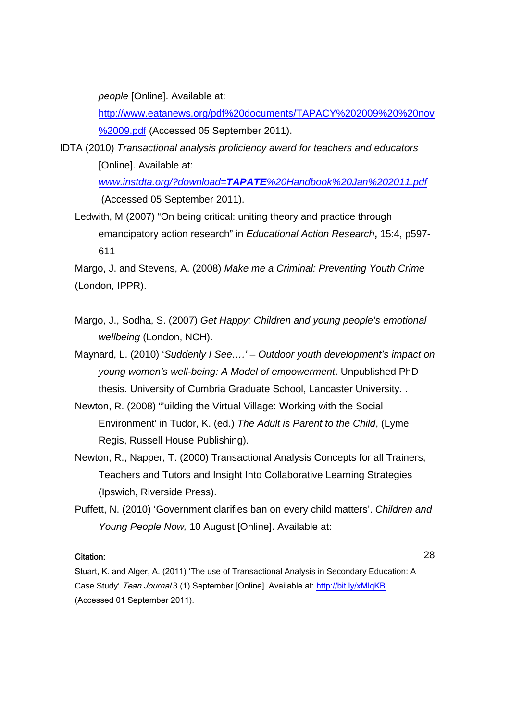*people* [Online]. Available at:

http://www.eatanews.org/pdf%20documents/TAPACY%202009%20%20nov %2009.pdf (Accessed 05 September 2011).

IDTA (2010) *Transactional analysis proficiency award for teachers and educators*  [Online]. Available at:

> *www.instdta.org/?download=TAPATE%20Handbook%20Jan%202011.pdf* (Accessed 05 September 2011).

Ledwith, M (2007) "On being critical: uniting theory and practice through emancipatory action research" in *Educational Action Research***,** 15:4, p597- 611

Margo, J. and Stevens, A. (2008) *Make me a Criminal: Preventing Youth Crime* (London, IPPR).

- Margo, J., Sodha, S. (2007) *Get Happy: Children and young people's emotional wellbeing* (London, NCH).
- Maynard, L. (2010) '*Suddenly I See….' Outdoor youth development's impact on young women's well-being: A Model of empowerment*. Unpublished PhD thesis. University of Cumbria Graduate School, Lancaster University. .
- Newton, R. (2008) "'uilding the Virtual Village: Working with the Social Environment' in Tudor, K. (ed.) *The Adult is Parent to the Child*, (Lyme Regis, Russell House Publishing).
- Newton, R., Napper, T. (2000) Transactional Analysis Concepts for all Trainers, Teachers and Tutors and Insight Into Collaborative Learning Strategies (Ipswich, Riverside Press).
- Puffett, N. (2010) 'Government clarifies ban on every child matters'. *Children and Young People Now,* 10 August [Online]. Available at:

### Citation:

28